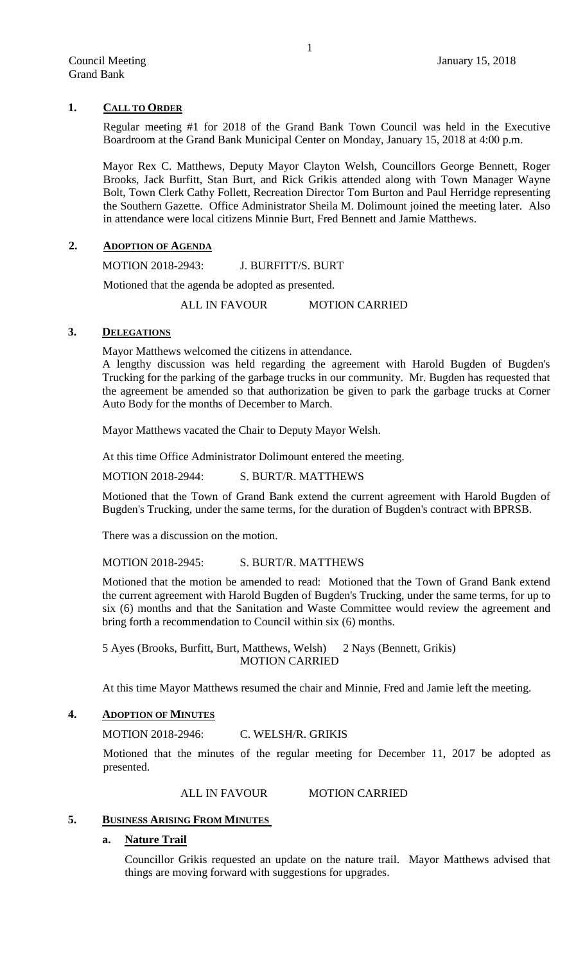#### **1. CALL TO ORDER**

Regular meeting #1 for 2018 of the Grand Bank Town Council was held in the Executive Boardroom at the Grand Bank Municipal Center on Monday, January 15, 2018 at 4:00 p.m.

Mayor Rex C. Matthews, Deputy Mayor Clayton Welsh, Councillors George Bennett, Roger Brooks, Jack Burfitt, Stan Burt, and Rick Grikis attended along with Town Manager Wayne Bolt, Town Clerk Cathy Follett, Recreation Director Tom Burton and Paul Herridge representing the Southern Gazette. Office Administrator Sheila M. Dolimount joined the meeting later. Also in attendance were local citizens Minnie Burt, Fred Bennett and Jamie Matthews.

#### **2. ADOPTION OF AGENDA**

MOTION 2018-2943: J. BURFITT/S. BURT

Motioned that the agenda be adopted as presented.

ALL IN FAVOUR MOTION CARRIED

#### **3. DELEGATIONS**

Mayor Matthews welcomed the citizens in attendance.

A lengthy discussion was held regarding the agreement with Harold Bugden of Bugden's Trucking for the parking of the garbage trucks in our community. Mr. Bugden has requested that the agreement be amended so that authorization be given to park the garbage trucks at Corner Auto Body for the months of December to March.

Mayor Matthews vacated the Chair to Deputy Mayor Welsh.

At this time Office Administrator Dolimount entered the meeting.

MOTION 2018-2944: S. BURT/R. MATTHEWS

Motioned that the Town of Grand Bank extend the current agreement with Harold Bugden of Bugden's Trucking, under the same terms, for the duration of Bugden's contract with BPRSB.

There was a discussion on the motion.

MOTION 2018-2945: S. BURT/R. MATTHEWS

Motioned that the motion be amended to read: Motioned that the Town of Grand Bank extend the current agreement with Harold Bugden of Bugden's Trucking, under the same terms, for up to six (6) months and that the Sanitation and Waste Committee would review the agreement and bring forth a recommendation to Council within six (6) months.

5 Ayes (Brooks, Burfitt, Burt, Matthews, Welsh) 2 Nays (Bennett, Grikis) MOTION CARRIED

At this time Mayor Matthews resumed the chair and Minnie, Fred and Jamie left the meeting.

## **4. ADOPTION OF MINUTES**

MOTION 2018-2946: C. WELSH/R. GRIKIS

Motioned that the minutes of the regular meeting for December 11, 2017 be adopted as presented.

#### ALL IN FAVOUR MOTION CARRIED

#### **5. BUSINESS ARISING FROM MINUTES**

# **a. Nature Trail**

Councillor Grikis requested an update on the nature trail. Mayor Matthews advised that things are moving forward with suggestions for upgrades.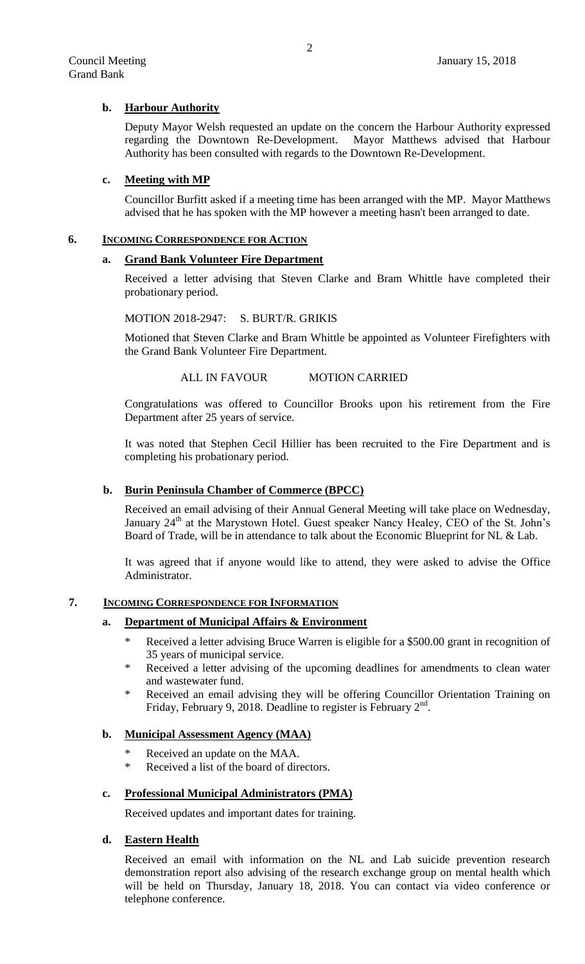# **b. Harbour Authority**

Deputy Mayor Welsh requested an update on the concern the Harbour Authority expressed regarding the Downtown Re-Development. Mayor Matthews advised that Harbour Authority has been consulted with regards to the Downtown Re-Development.

## **c. Meeting with MP**

Councillor Burfitt asked if a meeting time has been arranged with the MP. Mayor Matthews advised that he has spoken with the MP however a meeting hasn't been arranged to date.

#### **6. INCOMING CORRESPONDENCE FOR ACTION**

#### **a. Grand Bank Volunteer Fire Department**

Received a letter advising that Steven Clarke and Bram Whittle have completed their probationary period.

#### MOTION 2018-2947: S. BURT/R. GRIKIS

Motioned that Steven Clarke and Bram Whittle be appointed as Volunteer Firefighters with the Grand Bank Volunteer Fire Department.

#### ALL IN FAVOUR MOTION CARRIED

Congratulations was offered to Councillor Brooks upon his retirement from the Fire Department after 25 years of service.

It was noted that Stephen Cecil Hillier has been recruited to the Fire Department and is completing his probationary period.

## **b. Burin Peninsula Chamber of Commerce (BPCC)**

Received an email advising of their Annual General Meeting will take place on Wednesday, January 24<sup>th</sup> at the Marystown Hotel. Guest speaker Nancy Healey, CEO of the St. John's Board of Trade, will be in attendance to talk about the Economic Blueprint for NL & Lab.

It was agreed that if anyone would like to attend, they were asked to advise the Office Administrator.

## **7. INCOMING CORRESPONDENCE FOR INFORMATION**

## **a. Department of Municipal Affairs & Environment**

- \* Received a letter advising Bruce Warren is eligible for a \$500.00 grant in recognition of 35 years of municipal service.
- \* Received a letter advising of the upcoming deadlines for amendments to clean water and wastewater fund.
- \* Received an email advising they will be offering Councillor Orientation Training on Friday, February 9, 2018. Deadline to register is February  $2<sup>nd</sup>$ .

## **b. Municipal Assessment Agency (MAA)**

- Received an update on the MAA.
- Received a list of the board of directors.

## **c. Professional Municipal Administrators (PMA)**

Received updates and important dates for training.

## **d. Eastern Health**

Received an email with information on the NL and Lab suicide prevention research demonstration report also advising of the research exchange group on mental health which will be held on Thursday, January 18, 2018. You can contact via video conference or telephone conference.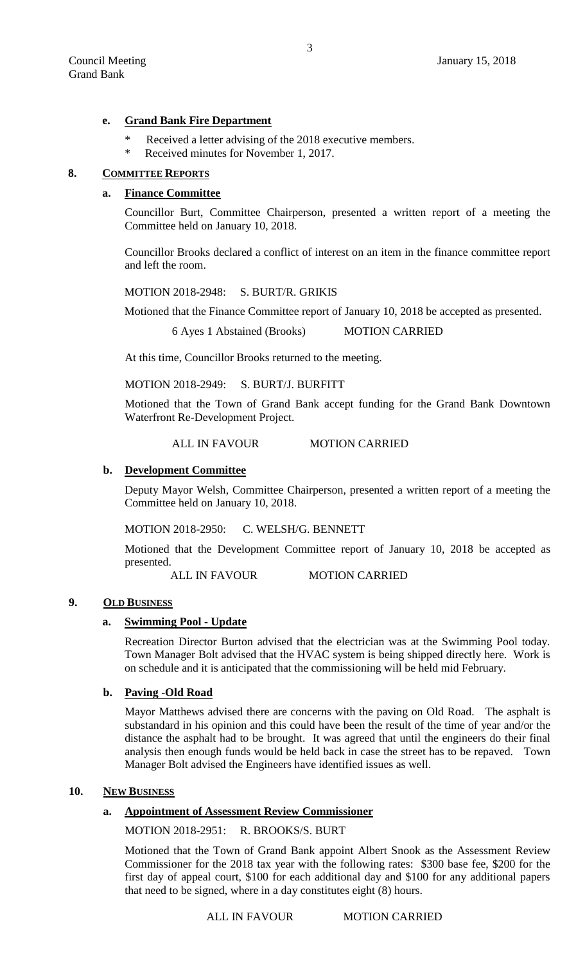#### **e. Grand Bank Fire Department**

- Received a letter advising of the 2018 executive members.
- Received minutes for November 1, 2017.

#### **8. COMMITTEE REPORTS**

#### **a. Finance Committee**

Councillor Burt, Committee Chairperson, presented a written report of a meeting the Committee held on January 10, 2018.

Councillor Brooks declared a conflict of interest on an item in the finance committee report and left the room.

MOTION 2018-2948: S. BURT/R. GRIKIS

Motioned that the Finance Committee report of January 10, 2018 be accepted as presented.

6 Ayes 1 Abstained (Brooks) MOTION CARRIED

At this time, Councillor Brooks returned to the meeting.

MOTION 2018-2949: S. BURT/J. BURFITT

Motioned that the Town of Grand Bank accept funding for the Grand Bank Downtown Waterfront Re-Development Project.

## ALL IN FAVOUR MOTION CARRIED

#### **b. Development Committee**

Deputy Mayor Welsh, Committee Chairperson, presented a written report of a meeting the Committee held on January 10, 2018.

MOTION 2018-2950: C. WELSH/G. BENNETT

Motioned that the Development Committee report of January 10, 2018 be accepted as presented.

ALL IN FAVOUR MOTION CARRIED

## **9. OLD BUSINESS**

#### **a. Swimming Pool - Update**

Recreation Director Burton advised that the electrician was at the Swimming Pool today. Town Manager Bolt advised that the HVAC system is being shipped directly here. Work is on schedule and it is anticipated that the commissioning will be held mid February.

## **b. Paving -Old Road**

Mayor Matthews advised there are concerns with the paving on Old Road. The asphalt is substandard in his opinion and this could have been the result of the time of year and/or the distance the asphalt had to be brought. It was agreed that until the engineers do their final analysis then enough funds would be held back in case the street has to be repaved. Town Manager Bolt advised the Engineers have identified issues as well.

#### **10. NEW BUSINESS**

#### **a. Appointment of Assessment Review Commissioner**

MOTION 2018-2951: R. BROOKS/S. BURT

Motioned that the Town of Grand Bank appoint Albert Snook as the Assessment Review Commissioner for the 2018 tax year with the following rates: \$300 base fee, \$200 for the first day of appeal court, \$100 for each additional day and \$100 for any additional papers that need to be signed, where in a day constitutes eight (8) hours.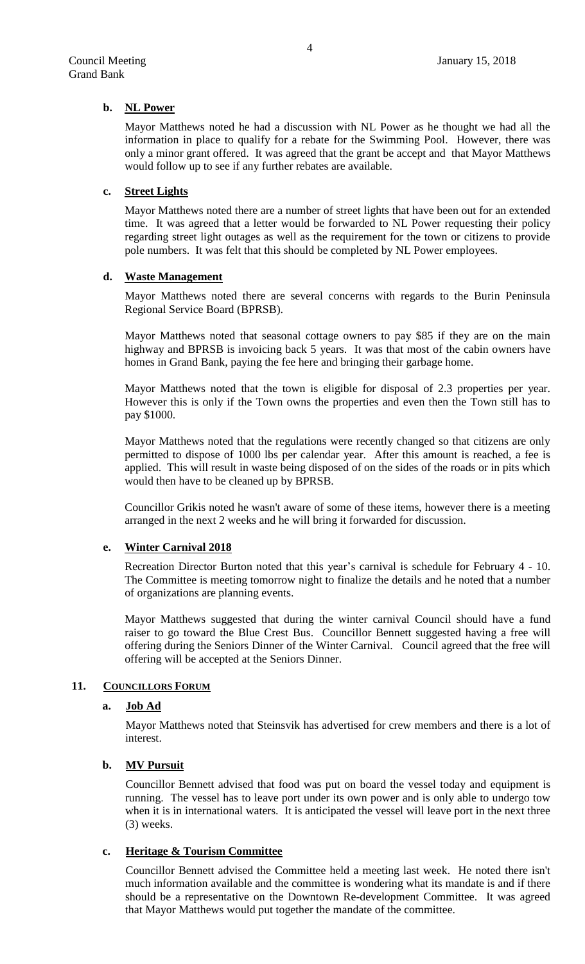#### **b. NL Power**

Mayor Matthews noted he had a discussion with NL Power as he thought we had all the information in place to qualify for a rebate for the Swimming Pool. However, there was only a minor grant offered. It was agreed that the grant be accept and that Mayor Matthews would follow up to see if any further rebates are available.

#### **c. Street Lights**

Mayor Matthews noted there are a number of street lights that have been out for an extended time. It was agreed that a letter would be forwarded to NL Power requesting their policy regarding street light outages as well as the requirement for the town or citizens to provide pole numbers. It was felt that this should be completed by NL Power employees.

#### **d. Waste Management**

Mayor Matthews noted there are several concerns with regards to the Burin Peninsula Regional Service Board (BPRSB).

Mayor Matthews noted that seasonal cottage owners to pay \$85 if they are on the main highway and BPRSB is invoicing back 5 years. It was that most of the cabin owners have homes in Grand Bank, paying the fee here and bringing their garbage home.

Mayor Matthews noted that the town is eligible for disposal of 2.3 properties per year. However this is only if the Town owns the properties and even then the Town still has to pay \$1000.

Mayor Matthews noted that the regulations were recently changed so that citizens are only permitted to dispose of 1000 lbs per calendar year. After this amount is reached, a fee is applied. This will result in waste being disposed of on the sides of the roads or in pits which would then have to be cleaned up by BPRSB.

Councillor Grikis noted he wasn't aware of some of these items, however there is a meeting arranged in the next 2 weeks and he will bring it forwarded for discussion.

## **e. Winter Carnival 2018**

Recreation Director Burton noted that this year's carnival is schedule for February 4 - 10. The Committee is meeting tomorrow night to finalize the details and he noted that a number of organizations are planning events.

Mayor Matthews suggested that during the winter carnival Council should have a fund raiser to go toward the Blue Crest Bus. Councillor Bennett suggested having a free will offering during the Seniors Dinner of the Winter Carnival. Council agreed that the free will offering will be accepted at the Seniors Dinner.

## 11. **COUNCILLORS FORUM**

#### **a. Job Ad**

Mayor Matthews noted that Steinsvik has advertised for crew members and there is a lot of interest.

# **b. MV Pursuit**

Councillor Bennett advised that food was put on board the vessel today and equipment is running. The vessel has to leave port under its own power and is only able to undergo tow when it is in international waters. It is anticipated the vessel will leave port in the next three (3) weeks.

## **c. Heritage & Tourism Committee**

Councillor Bennett advised the Committee held a meeting last week. He noted there isn't much information available and the committee is wondering what its mandate is and if there should be a representative on the Downtown Re-development Committee. It was agreed that Mayor Matthews would put together the mandate of the committee.